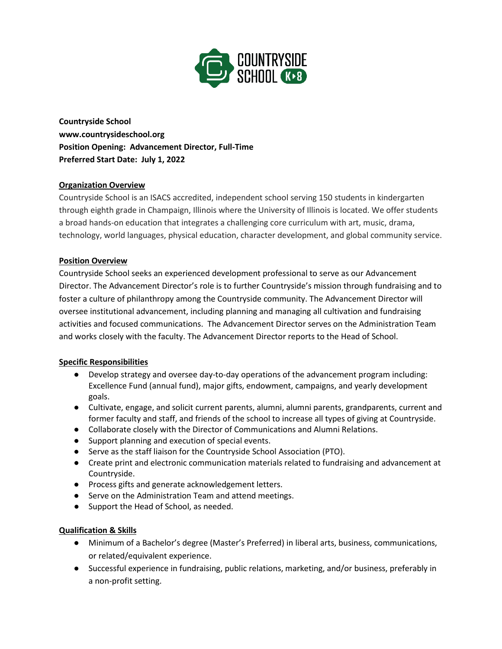

**Countryside School www.countrysideschool.org Position Opening: Advancement Director, Full-Time Preferred Start Date: July 1, 2022**

# **Organization Overview**

Countryside School is an ISACS accredited, independent school serving 150 students in kindergarten through eighth grade in Champaign, Illinois where the University of Illinois is located. We offer students a broad hands-on education that integrates a challenging core curriculum with art, music, drama, technology, world languages, physical education, character development, and global community service.

### **Position Overview**

Countryside School seeks an experienced development professional to serve as our Advancement Director. The Advancement Director's role is to further Countryside's mission through fundraising and to foster a culture of philanthropy among the Countryside community. The Advancement Director will oversee institutional advancement, including planning and managing all cultivation and fundraising activities and focused communications. The Advancement Director serves on the Administration Team and works closely with the faculty. The Advancement Director reports to the Head of School.

### **Specific Responsibilities**

- Develop strategy and oversee day-to-day operations of the advancement program including: Excellence Fund (annual fund), major gifts, endowment, campaigns, and yearly development goals.
- Cultivate, engage, and solicit current parents, alumni, alumni parents, grandparents, current and former faculty and staff, and friends of the school to increase all types of giving at Countryside.
- Collaborate closely with the Director of Communications and Alumni Relations.
- Support planning and execution of special events.
- Serve as the staff liaison for the Countryside School Association (PTO).
- Create print and electronic communication materials related to fundraising and advancement at Countryside.
- Process gifts and generate acknowledgement letters.
- Serve on the Administration Team and attend meetings.
- Support the Head of School, as needed.

### **Qualification & Skills**

- Minimum of a Bachelor's degree (Master's Preferred) in liberal arts, business, communications, or related/equivalent experience.
- Successful experience in fundraising, public relations, marketing, and/or business, preferably in a non-profit setting.